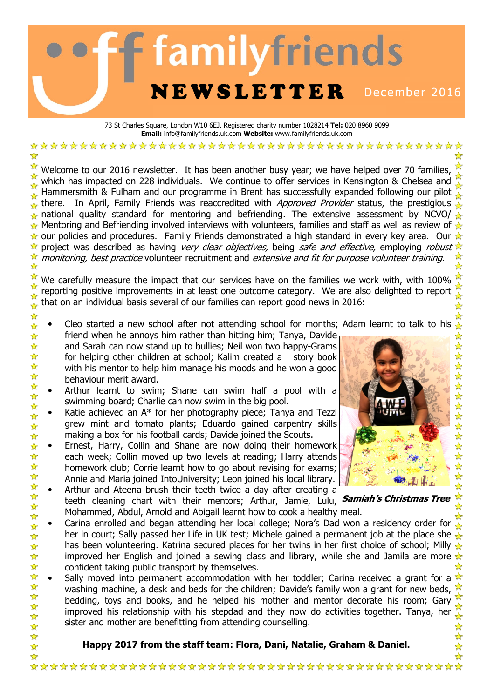# **familyfriends NEWSLETTER** December 2016

73 St Charles Square, London W10 6EJ. Registered charity number 1028214 Tel: 020 8960 9099 Email: info@familyfriends.uk.com Website: www.familyfriends.uk.com

Welcome to our 2016 newsletter. It has been another busy year; we have helped over 70 families, which has impacted on 228 individuals. We continue to offer services in Kensington & Chelsea and Hammersmith & Fulham and our programme in Brent has successfully expanded following our pilot there. In April, Family Friends was reaccredited with *Approved Provider* status, the prestigious  $\mathcal{L}$ national quality standard for mentoring and befriending. The extensive assessment by NCVO/ $\sqrt{2}$ Mentoring and Befriending involved interviews with volunteers, families and staff as well as review of  $\mathcal{L}$  $\star$  our policies and procedures. Family Friends demonstrated a high standard in every key area. Our  $\star$ project was described as having *very clear objectives*, being *safe and effective*, employing *robust*  $\mathbb{\hat{X}}$ monitoring, best practice volunteer recruitment and extensive and fit for purpose volunteer training.

We carefully measure the impact that our services have on the families we work with, with 100% reporting positive improvements in at least one outcome category. We are also delighted to report that on an individual basis several of our families can report good news in 2016:

- $\frac{1}{\sqrt{2}}$ Cleo started a new school after not attending school for months; Adam learnt to talk to his friend when he annoys him rather than hitting him; Tanya, Davide 女女女女女女女女女女女女女女女女女
	- and Sarah can now stand up to bullies; Neil won two happy-Grams for helping other children at school; Kalim created a story book with his mentor to help him manage his moods and he won a good behaviour merit award.
	- Arthur learnt to swim; Shane can swim half a pool with a swimming board; Charlie can now swim in the big pool.
	- Katie achieved an A\* for her photography piece; Tanya and Tezzi grew mint and tomato plants; Eduardo gained carpentry skills making a box for his football cards; Davide joined the Scouts.
- ☆☆☆☆☆☆☆☆☆☆☆☆☆☆☆☆☆☆☆☆☆☆☆☆☆☆☆☆☆☆☆☆☆☆ • Ernest, Harry, Collin and Shane are now doing their homework each week; Collin moved up two levels at reading; Harry attends homework club; Corrie learnt how to go about revising for exams; Annie and Maria joined IntoUniversity; Leon joined his local library.
	- Arthur and Ateena brush their teeth twice a day after creating a teeth cleaning chart with their mentors; Arthur, Jamie, Lulu, **Samiah's Christmas Tree** Mohammed, Abdul, Arnold and Abigail learnt how to cook a healthy meal.
	- Carina enrolled and began attending her local college; Nora's Dad won a residency order for  $\mathcal{L}$ her in court; Sally passed her Life in UK test; Michele gained a permanent job at the place she has been volunteering. Katrina secured places for her twins in her first choice of school; Milly  $\mathcal{L}$ improved her English and joined a sewing class and library, while she and Jamila are more  $\star$ confident taking public transport by themselves.
	- Sally moved into permanent accommodation with her toddler; Carina received a grant for a washing machine, a desk and beds for the children; Davide's family won a grant for new beds, bedding, toys and books, and he helped his mother and mentor decorate his room; Gary improved his relationship with his stepdad and they now do activities together. Tanya, her sister and mother are benefitting from attending counselling.  $\frac{1}{\mathcal{N}}$

Happy 2017 from the staff team: Flora, Dani, Natalie, Graham & Daniel.

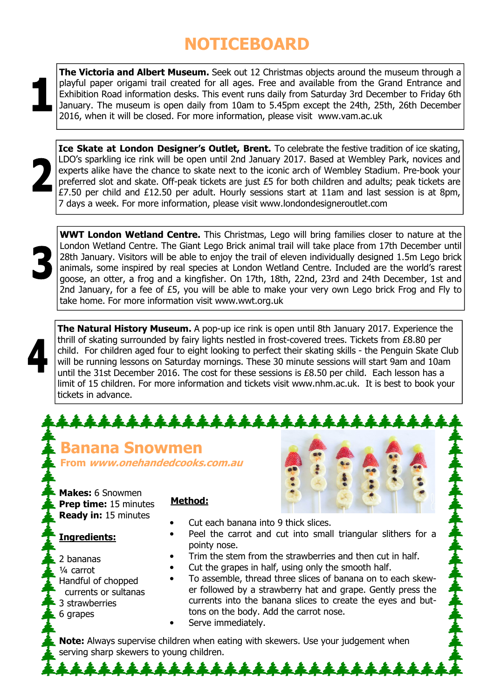## **NOTICEBOARD**

The Victoria and Albert Museum. Seek out 12 Christmas objects around the museum through a playful paper origami trail created for all ages. Free and available from the Grand Entrance and Exhibition Road information desks. This event runs daily from Saturday 3rd December to Friday 6th January. The museum is open daily from 10am to 5.45pm except the 24th, 25th, 26th December 2016, when it will be closed. For more information, please visit www.vam.ac.uk



Ice Skate at London Designer's Outlet, Brent. To celebrate the festive tradition of ice skating, LDO's sparkling ice rink will be open until 2nd January 2017. Based at Wembley Park, novices and experts alike have the chance to skate next to the iconic arch of Wembley Stadium. Pre-book your preferred slot and skate. Off-peak tickets are just £5 for both children and adults; peak tickets are  $£7.50$  per child and  $£12.50$  per adult. Hourly sessions start at 11am and last session is at 8pm, 7 days a week. For more information, please visit www.londondesigneroutlet.com



WWT London Wetland Centre. This Christmas, Lego will bring families closer to nature at the London Wetland Centre. The Giant Lego Brick animal trail will take place from 17th December until 28th January. Visitors will be able to enjoy the trail of eleven individually designed 1.5m Lego brick animals, some inspired by real species at London Wetland Centre. Included are the world's rarest goose, an otter, a frog and a kingfisher. On 17th, 18th, 22nd, 23rd and 24th December, 1st and 2nd January, for a fee of £5, you will be able to make your very own Lego brick Frog and Fly to take home. For more information visit www.wwt.org.uk

The Natural History Museum. A pop-up ice rink is open until 8th January 2017. Experience the thrill of skating surrounded by fairy lights nestled in frost-covered trees. Tickets from £8.80 per child. For children aged four to eight looking to perfect their skating skills - the Penguin Skate Club will be running lessons on Saturday mornings. These 30 minute sessions will start 9am and 10am until the 31st December 2016. The cost for these sessions is £8.50 per child. Each lesson has a limit of 15 children. For more information and tickets visit www.nhm.ac.uk. It is best to book your tickets in advance.

#### \*\*\*\*\*\*\*\*\*\*\* Banana Snowmen From www.onehandedcooks.com.au Makes: 6 Snowmen Method: Prep time: 15 minutes Ready in: 15 minutes • Cut each banana into 9 thick slices. Peel the carrot and cut into small triangular slithers for a Ingredients: pointy nose. Trim the stem from the strawberries and then cut in half. 2 bananas Cut the grapes in half, using only the smooth half. ¼ carrot • To assemble, thread three slices of banana on to each skew-Handful of chopped er followed by a strawberry hat and grape. Gently press the currents or sultanas

- 3 strawberries
- $6$  grapes

currents into the banana slices to create the eyes and buttons on the body. Add the carrot nose.

Serve immediately.

Note: Always supervise children when eating with skewers. Use your judgement when serving sharp skewers to young children.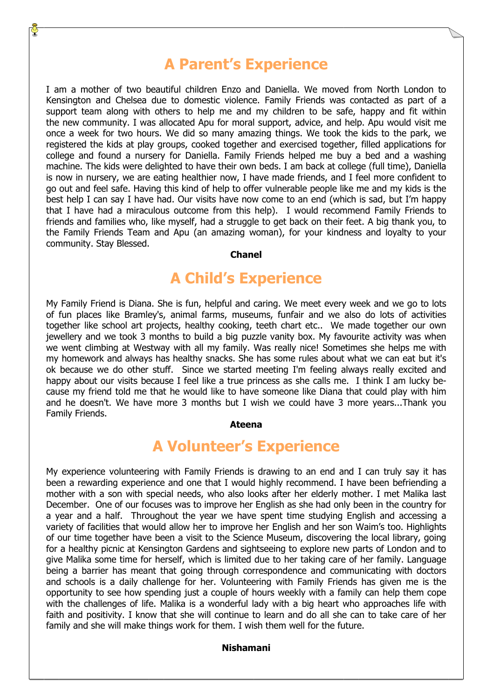## A Parent's Experience

I am a mother of two beautiful children Enzo and Daniella. We moved from North London to Kensington and Chelsea due to domestic violence. Family Friends was contacted as part of a support team along with others to help me and my children to be safe, happy and fit within the new community. I was allocated Apu for moral support, advice, and help. Apu would visit me once a week for two hours. We did so many amazing things. We took the kids to the park, we registered the kids at play groups, cooked together and exercised together, filled applications for college and found a nursery for Daniella. Family Friends helped me buy a bed and a washing machine. The kids were delighted to have their own beds. I am back at college (full time), Daniella is now in nursery, we are eating healthier now, I have made friends, and I feel more confident to go out and feel safe. Having this kind of help to offer vulnerable people like me and my kids is the best help I can say I have had. Our visits have now come to an end (which is sad, but I'm happy that I have had a miraculous outcome from this help). I would recommend Family Friends to friends and families who, like myself, had a struggle to get back on their feet. A big thank you, to the Family Friends Team and Apu (an amazing woman), for your kindness and loyalty to your community. Stay Blessed.

#### Chanel

## A Child's Experience

My Family Friend is Diana. She is fun, helpful and caring. We meet every week and we go to lots of fun places like Bramley's, animal farms, museums, funfair and we also do lots of activities together like school art projects, healthy cooking, teeth chart etc.. We made together our own jewellery and we took 3 months to build a big puzzle vanity box. My favourite activity was when we went climbing at Westway with all my family. Was really nice! Sometimes she helps me with my homework and always has healthy snacks. She has some rules about what we can eat but it's ok because we do other stuff. Since we started meeting I'm feeling always really excited and happy about our visits because I feel like a true princess as she calls me. I think I am lucky because my friend told me that he would like to have someone like Diana that could play with him and he doesn't. We have more 3 months but I wish we could have 3 more years...Thank you Family Friends.

#### Ateena

### A Volunteer's Experience

My experience volunteering with Family Friends is drawing to an end and I can truly say it has been a rewarding experience and one that I would highly recommend. I have been befriending a mother with a son with special needs, who also looks after her elderly mother. I met Malika last December. One of our focuses was to improve her English as she had only been in the country for a year and a half. Throughout the year we have spent time studying English and accessing a variety of facilities that would allow her to improve her English and her son Waim's too. Highlights of our time together have been a visit to the Science Museum, discovering the local library, going for a healthy picnic at Kensington Gardens and sightseeing to explore new parts of London and to give Malika some time for herself, which is limited due to her taking care of her family. Language being a barrier has meant that going through correspondence and communicating with doctors and schools is a daily challenge for her. Volunteering with Family Friends has given me is the opportunity to see how spending just a couple of hours weekly with a family can help them cope with the challenges of life. Malika is a wonderful lady with a big heart who approaches life with faith and positivity. I know that she will continue to learn and do all she can to take care of her family and she will make things work for them. I wish them well for the future.

#### Nishamani